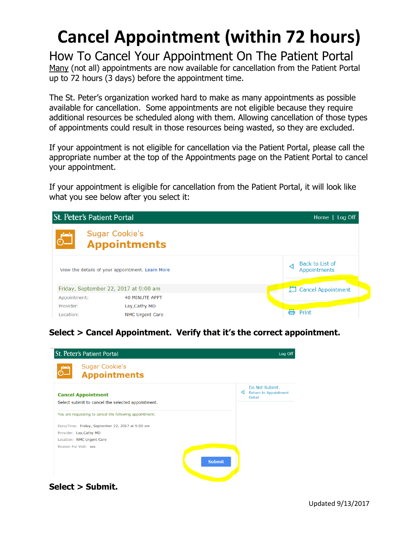## **Cancel Appointment (within 72 hours)**

How To Cancel Your Appointment On The Patient Portal Many (not all) appointments are now available for cancellation from the Patient Portal up to 72 hours (3 days) before the appointment time.

The St. Peter's organization worked hard to make as many appointments as possible available for cancellation. Some appointments are not eligible because they require additional resources be scheduled along with them. Allowing cancellation of those types of appointments could result in those resources being wasted, so they are excluded.

If your appointment is not eligible for cancellation via the Patient Portal, please call the appropriate number at the top of the Appointments page on the Patient Portal to cancel your appointment.

If your appointment is eligible for cancellation from the Patient Portal, it will look like what you see below after you select it:



**Select > Cancel Appointment. Verify that it's the correct appointment.**